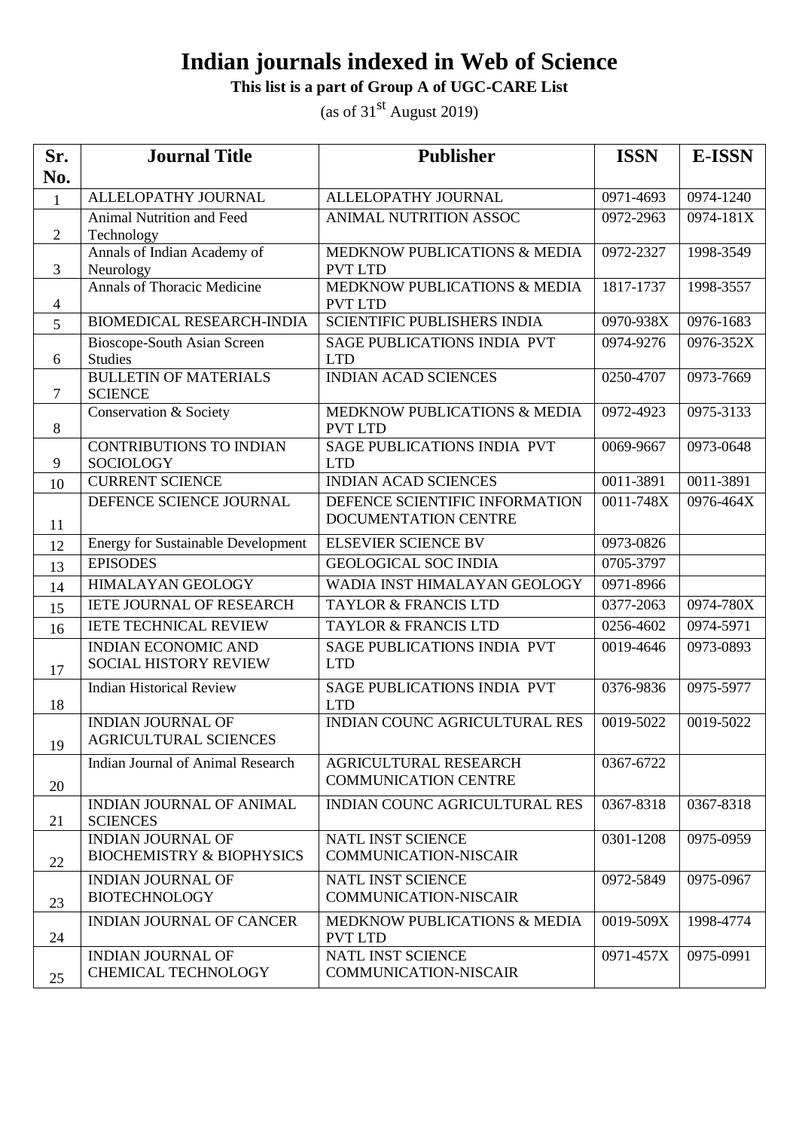#### **This list is a part of Group A of UGC-CARE List**

| Sr.            | <b>Journal Title</b>                                             | <b>Publisher</b>                                            | <b>ISSN</b> | <b>E-ISSN</b> |
|----------------|------------------------------------------------------------------|-------------------------------------------------------------|-------------|---------------|
| No.            |                                                                  |                                                             |             |               |
| $\mathbf{1}$   | ALLELOPATHY JOURNAL                                              | ALLELOPATHY JOURNAL                                         | 0971-4693   | 0974-1240     |
|                | Animal Nutrition and Feed                                        | ANIMAL NUTRITION ASSOC                                      | 0972-2963   | 0974-181X     |
| $\overline{2}$ | Technology                                                       |                                                             |             |               |
|                | Annals of Indian Academy of                                      | MEDKNOW PUBLICATIONS & MEDIA                                | 0972-2327   | 1998-3549     |
| 3              | Neurology<br><b>Annals of Thoracic Medicine</b>                  | <b>PVT LTD</b><br>MEDKNOW PUBLICATIONS & MEDIA              | 1817-1737   | 1998-3557     |
| $\overline{4}$ |                                                                  | <b>PVT LTD</b>                                              |             |               |
| 5              | <b>BIOMEDICAL RESEARCH-INDIA</b>                                 | <b>SCIENTIFIC PUBLISHERS INDIA</b>                          | 0970-938X   | 0976-1683     |
|                | Bioscope-South Asian Screen                                      | SAGE PUBLICATIONS INDIA PVT                                 | 0974-9276   | 0976-352X     |
| 6              | <b>Studies</b>                                                   | <b>LTD</b>                                                  |             |               |
| $\overline{7}$ | <b>BULLETIN OF MATERIALS</b>                                     | <b>INDIAN ACAD SCIENCES</b>                                 | 0250-4707   | 0973-7669     |
|                | <b>SCIENCE</b><br>Conservation & Society                         | MEDKNOW PUBLICATIONS & MEDIA                                | 0972-4923   | 0975-3133     |
| 8              |                                                                  | <b>PVT LTD</b>                                              |             |               |
|                | <b>CONTRIBUTIONS TO INDIAN</b>                                   | <b>SAGE PUBLICATIONS INDIA PVT</b>                          | 0069-9667   | 0973-0648     |
| 9              | <b>SOCIOLOGY</b>                                                 | <b>LTD</b>                                                  |             |               |
| 10             | <b>CURRENT SCIENCE</b>                                           | <b>INDIAN ACAD SCIENCES</b>                                 | 0011-3891   | 0011-3891     |
| 11             | DEFENCE SCIENCE JOURNAL                                          | DEFENCE SCIENTIFIC INFORMATION<br>DOCUMENTATION CENTRE      | 0011-748X   | 0976-464X     |
| 12             | <b>Energy for Sustainable Development</b>                        | <b>ELSEVIER SCIENCE BV</b>                                  | 0973-0826   |               |
| 13             | <b>EPISODES</b>                                                  | <b>GEOLOGICAL SOC INDIA</b>                                 | 0705-3797   |               |
| 14             | <b>HIMALAYAN GEOLOGY</b>                                         | WADIA INST HIMALAYAN GEOLOGY                                | 0971-8966   |               |
| 15             | <b>IETE JOURNAL OF RESEARCH</b>                                  | <b>TAYLOR &amp; FRANCIS LTD</b>                             | 0377-2063   | 0974-780X     |
| 16             | <b>IETE TECHNICAL REVIEW</b>                                     | <b>TAYLOR &amp; FRANCIS LTD</b>                             | 0256-4602   | 0974-5971     |
| 17             | <b>INDIAN ECONOMIC AND</b><br>SOCIAL HISTORY REVIEW              | <b>SAGE PUBLICATIONS INDIA PVT</b><br><b>LTD</b>            | 0019-4646   | 0973-0893     |
| 18             | <b>Indian Historical Review</b>                                  | SAGE PUBLICATIONS INDIA PVT<br><b>LTD</b>                   | 0376-9836   | 0975-5977     |
| 19             | <b>INDIAN JOURNAL OF</b><br><b>AGRICULTURAL SCIENCES</b>         | <b>INDIAN COUNC AGRICULTURAL RES</b>                        | 0019-5022   | 0019-5022     |
| 20             | Indian Journal of Animal Research                                | <b>AGRICULTURAL RESEARCH</b><br><b>COMMUNICATION CENTRE</b> | 0367-6722   |               |
| 21             | INDIAN JOURNAL OF ANIMAL<br><b>SCIENCES</b>                      | <b>INDIAN COUNC AGRICULTURAL RES</b>                        | 0367-8318   | 0367-8318     |
| 22             | <b>INDIAN JOURNAL OF</b><br><b>BIOCHEMISTRY &amp; BIOPHYSICS</b> | NATL INST SCIENCE<br><b>COMMUNICATION-NISCAIR</b>           | 0301-1208   | 0975-0959     |
| 23             | <b>INDIAN JOURNAL OF</b><br><b>BIOTECHNOLOGY</b>                 | NATL INST SCIENCE<br><b>COMMUNICATION-NISCAIR</b>           | 0972-5849   | 0975-0967     |
| 24             | <b>INDIAN JOURNAL OF CANCER</b>                                  | MEDKNOW PUBLICATIONS & MEDIA<br><b>PVT LTD</b>              | 0019-509X   | 1998-4774     |
| 25             | <b>INDIAN JOURNAL OF</b><br><b>CHEMICAL TECHNOLOGY</b>           | NATL INST SCIENCE<br><b>COMMUNICATION-NISCAIR</b>           | 0971-457X   | 0975-0991     |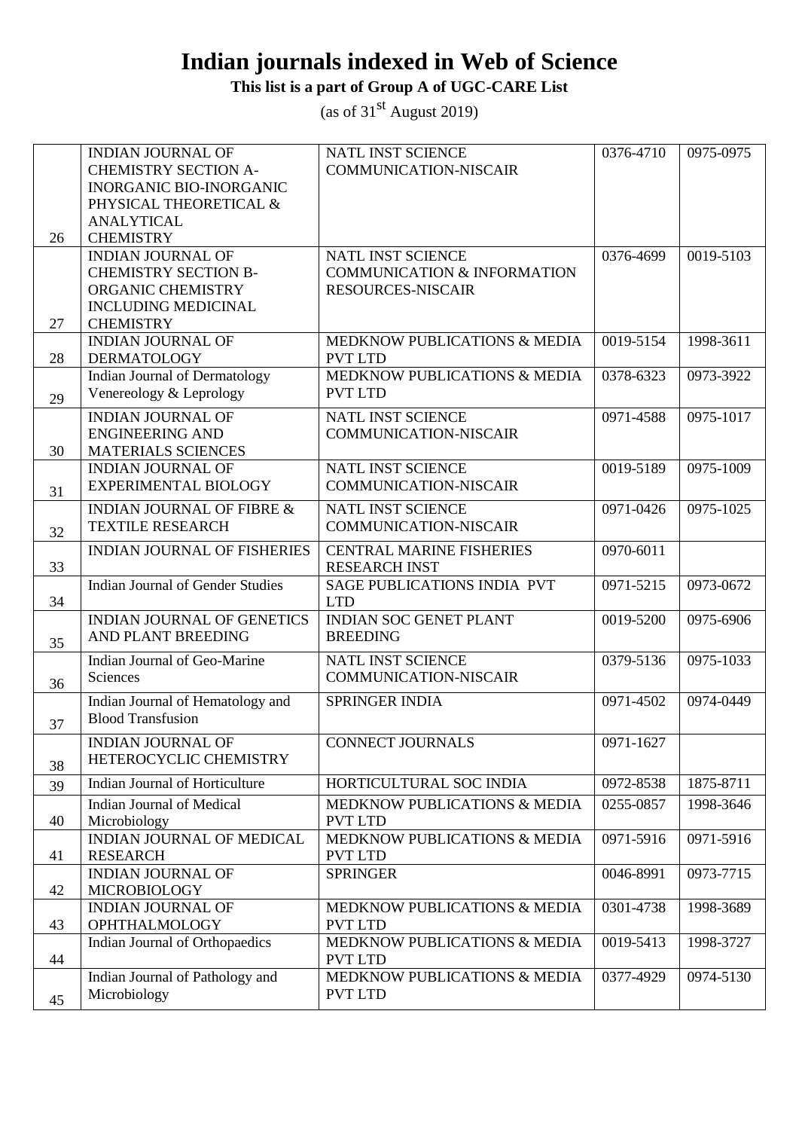### **This list is a part of Group A of UGC-CARE List**

|    | <b>INDIAN JOURNAL OF</b><br><b>CHEMISTRY SECTION A-</b>                                                                        | NATL INST SCIENCE<br><b>COMMUNICATION-NISCAIR</b>                                       | 0376-4710 | 0975-0975 |
|----|--------------------------------------------------------------------------------------------------------------------------------|-----------------------------------------------------------------------------------------|-----------|-----------|
|    | <b>INORGANIC BIO-INORGANIC</b><br>PHYSICAL THEORETICAL &                                                                       |                                                                                         |           |           |
| 26 | <b>ANALYTICAL</b><br><b>CHEMISTRY</b>                                                                                          |                                                                                         |           |           |
| 27 | <b>INDIAN JOURNAL OF</b><br><b>CHEMISTRY SECTION B-</b><br>ORGANIC CHEMISTRY<br><b>INCLUDING MEDICINAL</b><br><b>CHEMISTRY</b> | NATL INST SCIENCE<br><b>COMMUNICATION &amp; INFORMATION</b><br><b>RESOURCES-NISCAIR</b> | 0376-4699 | 0019-5103 |
| 28 | <b>INDIAN JOURNAL OF</b><br><b>DERMATOLOGY</b>                                                                                 | MEDKNOW PUBLICATIONS & MEDIA<br><b>PVT LTD</b>                                          | 0019-5154 | 1998-3611 |
| 29 | Indian Journal of Dermatology<br>Venereology & Leprology                                                                       | MEDKNOW PUBLICATIONS & MEDIA<br><b>PVT LTD</b>                                          | 0378-6323 | 0973-3922 |
| 30 | <b>INDIAN JOURNAL OF</b><br><b>ENGINEERING AND</b><br><b>MATERIALS SCIENCES</b>                                                | NATL INST SCIENCE<br><b>COMMUNICATION-NISCAIR</b>                                       | 0971-4588 | 0975-1017 |
| 31 | <b>INDIAN JOURNAL OF</b><br><b>EXPERIMENTAL BIOLOGY</b>                                                                        | NATL INST SCIENCE<br><b>COMMUNICATION-NISCAIR</b>                                       | 0019-5189 | 0975-1009 |
| 32 | <b>INDIAN JOURNAL OF FIBRE &amp;</b><br><b>TEXTILE RESEARCH</b>                                                                | NATL INST SCIENCE<br><b>COMMUNICATION-NISCAIR</b>                                       | 0971-0426 | 0975-1025 |
| 33 | <b>INDIAN JOURNAL OF FISHERIES</b>                                                                                             | <b>CENTRAL MARINE FISHERIES</b><br><b>RESEARCH INST</b>                                 | 0970-6011 |           |
| 34 | <b>Indian Journal of Gender Studies</b>                                                                                        | SAGE PUBLICATIONS INDIA PVT<br><b>LTD</b>                                               | 0971-5215 | 0973-0672 |
| 35 | <b>INDIAN JOURNAL OF GENETICS</b><br>AND PLANT BREEDING                                                                        | <b>INDIAN SOC GENET PLANT</b><br><b>BREEDING</b>                                        | 0019-5200 | 0975-6906 |
| 36 | Indian Journal of Geo-Marine<br>Sciences                                                                                       | NATL INST SCIENCE<br><b>COMMUNICATION-NISCAIR</b>                                       | 0379-5136 | 0975-1033 |
| 37 | Indian Journal of Hematology and<br><b>Blood Transfusion</b>                                                                   | <b>SPRINGER INDIA</b>                                                                   | 0971-4502 | 0974-0449 |
| 38 | <b>INDIAN JOURNAL OF</b><br>HETEROCYCLIC CHEMISTRY                                                                             | <b>CONNECT JOURNALS</b>                                                                 | 0971-1627 |           |
| 39 | Indian Journal of Horticulture                                                                                                 | HORTICULTURAL SOC INDIA                                                                 | 0972-8538 | 1875-8711 |
| 40 | Indian Journal of Medical<br>Microbiology                                                                                      | MEDKNOW PUBLICATIONS & MEDIA<br><b>PVT LTD</b>                                          | 0255-0857 | 1998-3646 |
| 41 | INDIAN JOURNAL OF MEDICAL<br><b>RESEARCH</b>                                                                                   | MEDKNOW PUBLICATIONS & MEDIA<br><b>PVT LTD</b>                                          | 0971-5916 | 0971-5916 |
| 42 | <b>INDIAN JOURNAL OF</b><br><b>MICROBIOLOGY</b>                                                                                | <b>SPRINGER</b>                                                                         | 0046-8991 | 0973-7715 |
| 43 | <b>INDIAN JOURNAL OF</b><br>OPHTHALMOLOGY                                                                                      | MEDKNOW PUBLICATIONS & MEDIA<br><b>PVT LTD</b>                                          | 0301-4738 | 1998-3689 |
| 44 | Indian Journal of Orthopaedics                                                                                                 | MEDKNOW PUBLICATIONS & MEDIA<br><b>PVT LTD</b>                                          | 0019-5413 | 1998-3727 |
| 45 | Indian Journal of Pathology and<br>Microbiology                                                                                | MEDKNOW PUBLICATIONS & MEDIA<br><b>PVT LTD</b>                                          | 0377-4929 | 0974-5130 |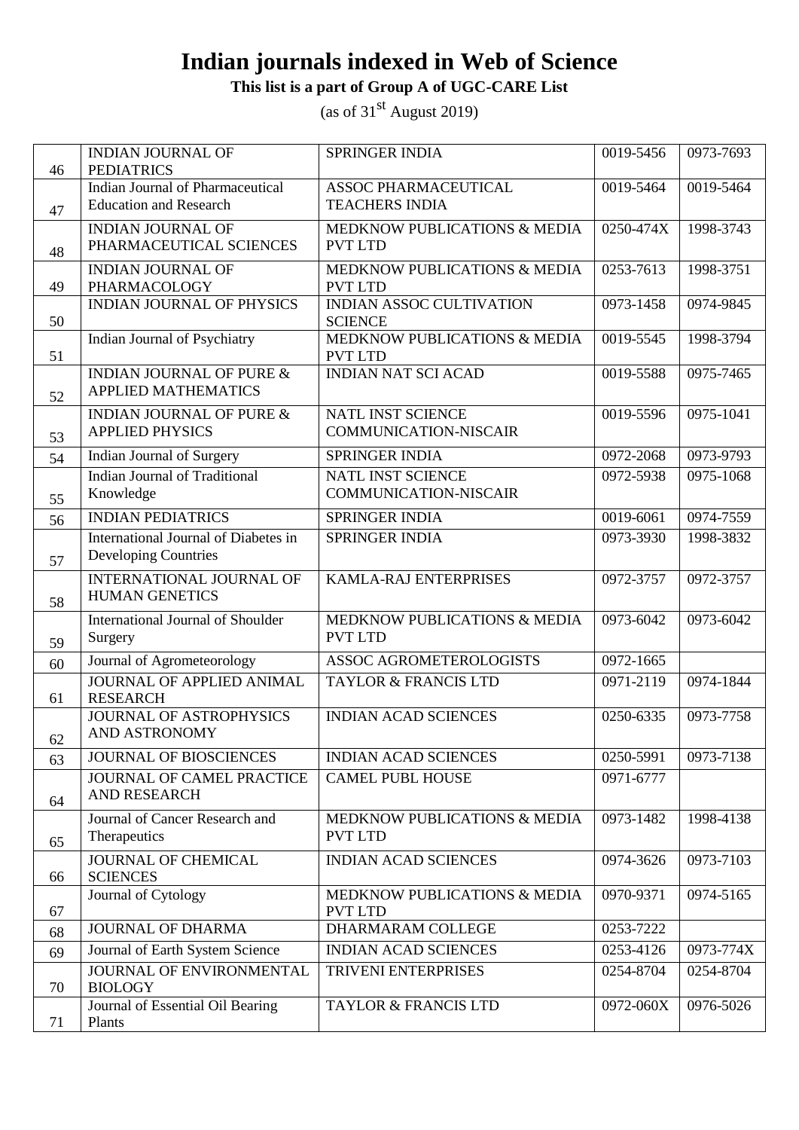#### **This list is a part of Group A of UGC-CARE List**

| 46 | <b>INDIAN JOURNAL OF</b><br><b>PEDIATRICS</b>                       | SPRINGER INDIA                                           | 0019-5456                | 0973-7693 |
|----|---------------------------------------------------------------------|----------------------------------------------------------|--------------------------|-----------|
|    | <b>Indian Journal of Pharmaceutical</b>                             | ASSOC PHARMACEUTICAL                                     | 0019-5464                | 0019-5464 |
| 47 | <b>Education and Research</b>                                       | <b>TEACHERS INDIA</b>                                    |                          |           |
| 48 | <b>INDIAN JOURNAL OF</b><br>PHARMACEUTICAL SCIENCES                 | MEDKNOW PUBLICATIONS & MEDIA<br><b>PVT LTD</b>           | 0250-474X                | 1998-3743 |
| 49 | <b>INDIAN JOURNAL OF</b><br>PHARMACOLOGY                            | MEDKNOW PUBLICATIONS & MEDIA<br><b>PVT LTD</b>           | 0253-7613                | 1998-3751 |
| 50 | <b>INDIAN JOURNAL OF PHYSICS</b>                                    | <b>INDIAN ASSOC CULTIVATION</b><br><b>SCIENCE</b>        | 0973-1458                | 0974-9845 |
| 51 | Indian Journal of Psychiatry                                        | MEDKNOW PUBLICATIONS & MEDIA<br><b>PVT LTD</b>           | 0019-5545                | 1998-3794 |
| 52 | <b>INDIAN JOURNAL OF PURE &amp;</b><br><b>APPLIED MATHEMATICS</b>   | <b>INDIAN NAT SCI ACAD</b>                               | 0019-5588                | 0975-7465 |
| 53 | <b>INDIAN JOURNAL OF PURE &amp;</b><br><b>APPLIED PHYSICS</b>       | NATL INST SCIENCE<br><b>COMMUNICATION-NISCAIR</b>        | 0019-5596                | 0975-1041 |
| 54 | Indian Journal of Surgery                                           | SPRINGER INDIA                                           | 0972-2068                | 0973-9793 |
| 55 | <b>Indian Journal of Traditional</b><br>Knowledge                   | <b>NATL INST SCIENCE</b><br><b>COMMUNICATION-NISCAIR</b> | 0972-5938                | 0975-1068 |
| 56 | <b>INDIAN PEDIATRICS</b>                                            | <b>SPRINGER INDIA</b>                                    | 0019-6061                | 0974-7559 |
| 57 | International Journal of Diabetes in<br><b>Developing Countries</b> | SPRINGER INDIA                                           | 0973-3930                | 1998-3832 |
| 58 | INTERNATIONAL JOURNAL OF<br><b>HUMAN GENETICS</b>                   | KAMLA-RAJ ENTERPRISES                                    | 0972-3757                | 0972-3757 |
| 59 | <b>International Journal of Shoulder</b><br>Surgery                 | MEDKNOW PUBLICATIONS & MEDIA<br><b>PVT LTD</b>           | 0973-6042                | 0973-6042 |
| 60 | Journal of Agrometeorology                                          | ASSOC AGROMETEROLOGISTS                                  | $\overline{0972} - 1665$ |           |
| 61 | JOURNAL OF APPLIED ANIMAL<br><b>RESEARCH</b>                        | <b>TAYLOR &amp; FRANCIS LTD</b>                          | 0971-2119                | 0974-1844 |
| 62 | JOURNAL OF ASTROPHYSICS<br>AND ASTRONOMY                            | <b>INDIAN ACAD SCIENCES</b>                              | 0250-6335                | 0973-7758 |
| 63 | JOURNAL OF BIOSCIENCES                                              | <b>INDIAN ACAD SCIENCES</b>                              | 0250-5991                | 0973-7138 |
| 64 | JOURNAL OF CAMEL PRACTICE<br><b>AND RESEARCH</b>                    | <b>CAMEL PUBL HOUSE</b>                                  | 0971-6777                |           |
| 65 | Journal of Cancer Research and<br>Therapeutics                      | MEDKNOW PUBLICATIONS & MEDIA<br><b>PVT LTD</b>           | 0973-1482                | 1998-4138 |
| 66 | <b>JOURNAL OF CHEMICAL</b><br><b>SCIENCES</b>                       | <b>INDIAN ACAD SCIENCES</b>                              | 0974-3626                | 0973-7103 |
| 67 | Journal of Cytology                                                 | MEDKNOW PUBLICATIONS & MEDIA<br><b>PVT LTD</b>           | 0970-9371                | 0974-5165 |
| 68 | <b>JOURNAL OF DHARMA</b>                                            | DHARMARAM COLLEGE                                        | 0253-7222                |           |
| 69 | Journal of Earth System Science                                     | <b>INDIAN ACAD SCIENCES</b>                              | 0253-4126                | 0973-774X |
| 70 | JOURNAL OF ENVIRONMENTAL<br><b>BIOLOGY</b>                          | TRIVENI ENTERPRISES                                      | 0254-8704                | 0254-8704 |
| 71 | Journal of Essential Oil Bearing<br>Plants                          | <b>TAYLOR &amp; FRANCIS LTD</b>                          | 0972-060X                | 0976-5026 |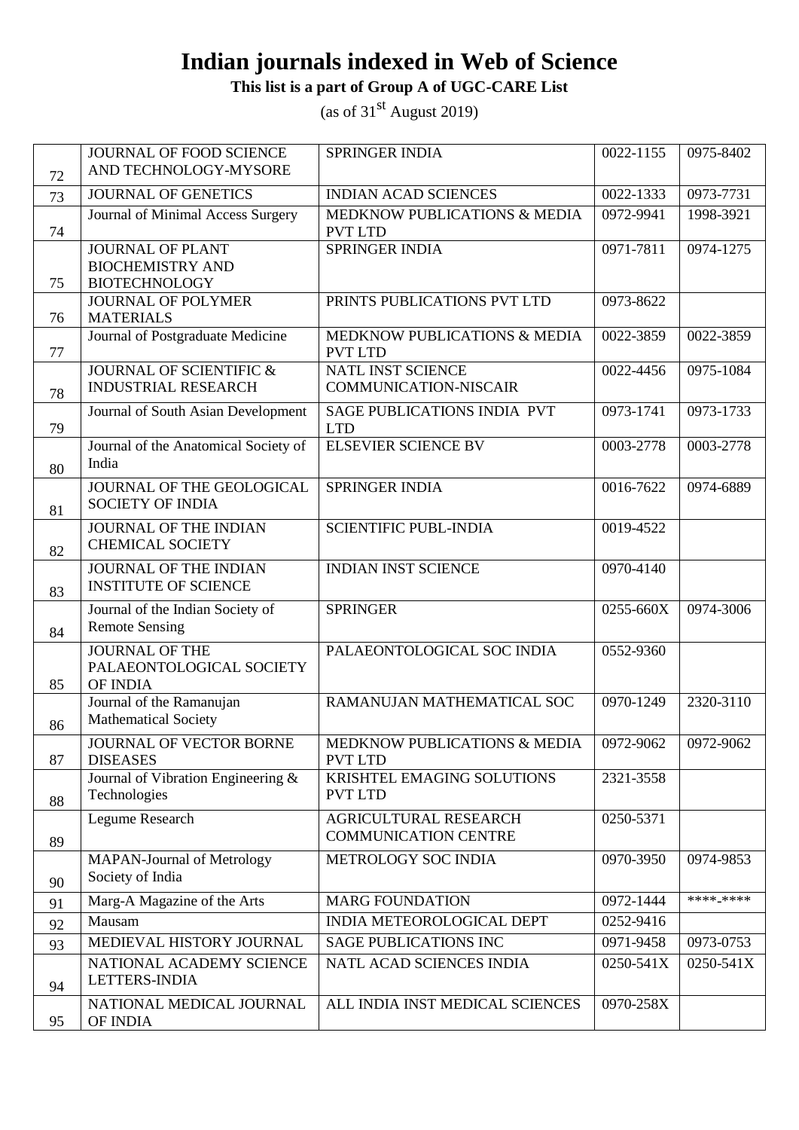**This list is a part of Group A of UGC-CARE List**

| 72 | JOURNAL OF FOOD SCIENCE<br>AND TECHNOLOGY-MYSORE                           | SPRINGER INDIA                                       | 0022-1155 | 0975-8402 |
|----|----------------------------------------------------------------------------|------------------------------------------------------|-----------|-----------|
| 73 | <b>JOURNAL OF GENETICS</b>                                                 | <b>INDIAN ACAD SCIENCES</b>                          | 0022-1333 | 0973-7731 |
| 74 | Journal of Minimal Access Surgery                                          | MEDKNOW PUBLICATIONS & MEDIA<br><b>PVT LTD</b>       | 0972-9941 | 1998-3921 |
| 75 | <b>JOURNAL OF PLANT</b><br><b>BIOCHEMISTRY AND</b><br><b>BIOTECHNOLOGY</b> | SPRINGER INDIA                                       | 0971-7811 | 0974-1275 |
| 76 | <b>JOURNAL OF POLYMER</b><br><b>MATERIALS</b>                              | PRINTS PUBLICATIONS PVT LTD                          | 0973-8622 |           |
| 77 | Journal of Postgraduate Medicine                                           | MEDKNOW PUBLICATIONS & MEDIA<br><b>PVT LTD</b>       | 0022-3859 | 0022-3859 |
| 78 | JOURNAL OF SCIENTIFIC &<br><b>INDUSTRIAL RESEARCH</b>                      | NATL INST SCIENCE<br><b>COMMUNICATION-NISCAIR</b>    | 0022-4456 | 0975-1084 |
| 79 | Journal of South Asian Development                                         | SAGE PUBLICATIONS INDIA PVT<br><b>LTD</b>            | 0973-1741 | 0973-1733 |
| 80 | Journal of the Anatomical Society of<br>India                              | <b>ELSEVIER SCIENCE BV</b>                           | 0003-2778 | 0003-2778 |
| 81 | JOURNAL OF THE GEOLOGICAL<br><b>SOCIETY OF INDIA</b>                       | SPRINGER INDIA                                       | 0016-7622 | 0974-6889 |
| 82 | <b>JOURNAL OF THE INDIAN</b><br><b>CHEMICAL SOCIETY</b>                    | <b>SCIENTIFIC PUBL-INDIA</b>                         | 0019-4522 |           |
| 83 | JOURNAL OF THE INDIAN<br><b>INSTITUTE OF SCIENCE</b>                       | <b>INDIAN INST SCIENCE</b>                           | 0970-4140 |           |
| 84 | Journal of the Indian Society of<br><b>Remote Sensing</b>                  | <b>SPRINGER</b>                                      | 0255-660X | 0974-3006 |
| 85 | <b>JOURNAL OF THE</b><br>PALAEONTOLOGICAL SOCIETY<br>OF INDIA              | PALAEONTOLOGICAL SOC INDIA                           | 0552-9360 |           |
| 86 | Journal of the Ramanujan<br><b>Mathematical Society</b>                    | RAMANUJAN MATHEMATICAL SOC                           | 0970-1249 | 2320-3110 |
| 87 | JOURNAL OF VECTOR BORNE<br><b>DISEASES</b>                                 | MEDKNOW PUBLICATIONS & MEDIA<br><b>PVT LTD</b>       | 0972-9062 | 0972-9062 |
| 88 | Journal of Vibration Engineering &<br>Technologies                         | KRISHTEL EMAGING SOLUTIONS<br><b>PVT LTD</b>         | 2321-3558 |           |
| 89 | Legume Research                                                            | AGRICULTURAL RESEARCH<br><b>COMMUNICATION CENTRE</b> | 0250-5371 |           |
| 90 | <b>MAPAN-Journal of Metrology</b><br>Society of India                      | METROLOGY SOC INDIA                                  | 0970-3950 | 0974-9853 |
| 91 | Marg-A Magazine of the Arts                                                | <b>MARG FOUNDATION</b>                               | 0972-1444 | ****_**** |
| 92 | Mausam                                                                     | INDIA METEOROLOGICAL DEPT                            | 0252-9416 |           |
| 93 | MEDIEVAL HISTORY JOURNAL                                                   | <b>SAGE PUBLICATIONS INC</b>                         | 0971-9458 | 0973-0753 |
| 94 | NATIONAL ACADEMY SCIENCE<br>LETTERS-INDIA                                  | NATL ACAD SCIENCES INDIA                             | 0250-541X | 0250-541X |
| 95 | NATIONAL MEDICAL JOURNAL<br>OF INDIA                                       | ALL INDIA INST MEDICAL SCIENCES                      | 0970-258X |           |